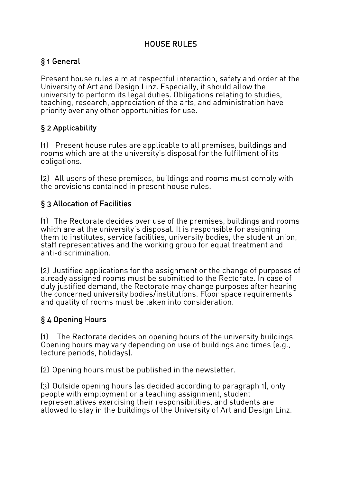## HOUSE RULES

## § 1 General

Present house rules aim at respectful interaction, safety and order at the University of Art and Design Linz. Especially, it should allow the university to perform its legal duties. Obligations relating to studies, teaching, research, appreciation of the arts, and administration have priority over any other opportunities for use.

# § 2 Applicability

(1) Present house rules are applicable to all premises, buildings and rooms which are at the university's disposal for the fulfilment of its obligations.

(2) All users of these premises, buildings and rooms must comply with the provisions contained in present house rules.

# § 3 Allocation of Facilities

(1) The Rectorate decides over use of the premises, buildings and rooms which are at the university's disposal. It is responsible for assigning them to institutes, service facilities, university bodies, the student union, staff representatives and the working group for equal treatment and anti-discrimination.

(2) Justified applications for the assignment or the change of purposes of already assigned rooms must be submitted to the Rectorate. In case of duly justified demand, the Rectorate may change purposes after hearing the concerned university bodies/institutions. Floor space requirements and quality of rooms must be taken into consideration.

# § 4 Opening Hours

(1) The Rectorate decides on opening hours of the university buildings. Opening hours may vary depending on use of buildings and times (e.g., lecture periods, holidays).

(2) Opening hours must be published in the newsletter.

(3) Outside opening hours (as decided according to paragraph 1), only people with employment or a teaching assignment, student representatives exercising their responsibilities, and students are allowed to stay in the buildings of the University of Art and Design Linz.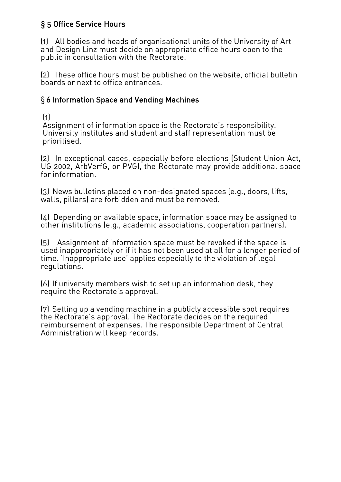# § 5 Office Service Hours

(1) All bodies and heads of organisational units of the University of Art and Design Linz must decide on appropriate office hours open to the public in consultation with the Rectorate.

(2) These office hours must be published on the website, official bulletin boards or next to office entrances.

### § 6 Information Space and Vending Machines

(1)

Assignment of information space is the Rectorate's responsibility. University institutes and student and staff representation must be prioritised.

(2) In exceptional cases, especially before elections (Student Union Act,<br>UG 2002, ArbVerfG, or PVG), the Rectorate may provide additional space for information.

(3) News bulletins placed on non-designated spaces (e.g., doors, lifts, walls, pillars) are forbidden and must be removed.

(4) Depending on available space, information space may be assigned to other institutions (e.g., academic associations, cooperation partners).

(5) Assignment of information space must be revoked if the space is used inappropriately or if it has not been used at all for a longer period of time. 'Inappropriate use' applies especially to the violation of legal regulations.

(6) If university members wish to set up an information desk, they require the Rectorate's approval.

(7) Setting up a vending machine in a publicly accessible spot requires the Rectorate's approval. The Rectorate decides on the required reimbursement of expenses. The responsible Department of Central Administration will keep records.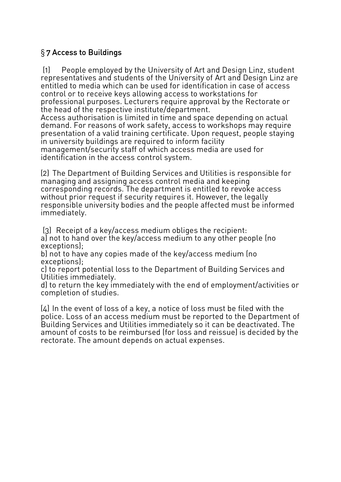## § 7 Access to Buildings

(1) People employed by the University of Art and Design Linz, student representatives and students of the University of Art and Design Linz are entitled to media which can be used for identification in case of access control or to receive keys allowing access to workstations for professional purposes. Lecturers require approval by the Rectorate or the head of the respective institute/department.

Access authorisation is limited in time and space depending on actual demand. For reasons of work safety, access to workshops may require presentation of a valid training certificate. Upon request, people staying in university buildings are required to inform facility management/security staff of which access media are used for identification in the access control system.

(2) The Department of Building Services and Utilities is responsible for managing and assigning access control media and keeping corresponding records. The department is entitled to revoke access without prior request if security requires it. However, the legally responsible university bodies and the people affected must be informed immediately.

(3) Receipt of a key/access medium obliges the recipient: a) not to hand over the key/access medium to any other people (no exceptions);

b) not to have any copies made of the key/access medium (no exceptions);

c) to report potential loss to the Department of Building Services and Utilities immediately.<br>d) to return the key immediately with the end of employment/activities or

completion of studies.

(4) In the event of loss of a key, a notice of loss must be filed with the police. Loss of an access medium must be reported to the Department of Building Services and Utilities immediately so it can be deactivated. The amount of costs to be reimbursed (for loss and reissue) is decided by the rectorate. The amount depends on actual expenses.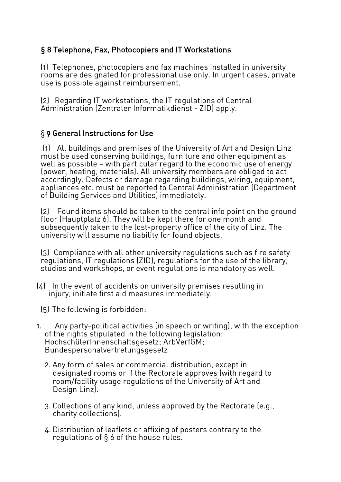## § 8 Telephone, Fax, Photocopiers and IT Workstations

(1) Telephones, photocopiers and fax machines installed in university rooms are designated for professional use only. In urgent cases, private use is possible against reimbursement.

(2) Regarding IT workstations, the IT regulations of Central Administration (Zentraler Informatikdienst - ZID) apply.

#### § 9 General Instructions for Use

(1) All buildings and premises of the University of Art and Design Linz must be used conserving buildings, furniture and other equipment as well as possible – with particular regard to the economic use of energy<br>(power, heating, materials). All university members are obliged to act<br>accordingly. Defects or damage regarding buildings, wiring, equipment, appliances etc. must be reported to Central Administration (Department of Building Services and Utilities) immediately.

(2) Found items should be taken to the central info point on the ground floor (Hauptplatz 6). They will be kept there for one month and subsequently taken to the lost-property office of the city of Linz. The university will assume no liability for found objects.

(3) Compliance with all other university regulations such as fire safety regulations, IT regulations (ZID), regulations for the use of the library, studios and workshops, or event regulations is mandatory as well.

- (4) In the event of accidents on university premises resulting in injury, initiate first aid measures immediately.
	- (5) The following is forbidden:
- 1. Any party-political activities (in speech or writing), with the exception of the rights stipulated in the following legislation: HochschülerInnenschaftsgesetz; ArbVerfGM; Bundespersonalvertretungsgesetz
	- 2. Any form of sales or commercial distribution, except in designated rooms or if the Rectorate approves (with regard to room/facility usage regulations of the University of Art and Design Linz).
	- 3. Collections of any kind, unless approved by the Rectorate (e.g., charity collections).
	- 4. Distribution of leaflets or affixing of posters contrary to the regulations of § 6 of the house rules.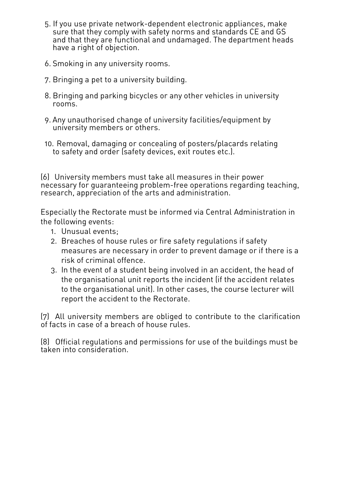- 5. If you use private network-dependent electronic appliances, make sure that they comply with safety norms and standards CE and GS and that they are functional and undamaged. The department heads have a right of objection.
- 6. Smoking in any university rooms.
- 7. Bringing a pet to a university building.
- 8. Bringing and parking bicycles or any other vehicles in university rooms.
- 9. Any unauthorised change of university facilities/equipment by university members or others.
- 10. Removal, damaging or concealing of posters/placards relating to safety and order (safety devices, exit routes etc.).

(6) University members must take all measures in their power necessary for guaranteeing problem-free operations regarding teaching, research, appreciation of the arts and administration.

Especially the Rectorate must be informed via Central Administration in the following events:

- 1. Unusual events;
- 2. Breaches of house rules or fire safety regulations if safety measures are necessary in order to prevent damage or if there is a risk of criminal offence.
- 3. In the event of a student being involved in an accident, the head of the organisational unit reports the incident (if the accident relates to the organisational unit). In other cases, the course lecturer will report the accident to the Rectorate.

(7) All university members are obliged to contribute to the clarification of facts in case of a breach of house rules.

(8) Official regulations and permissions for use of the buildings must be taken into consideration.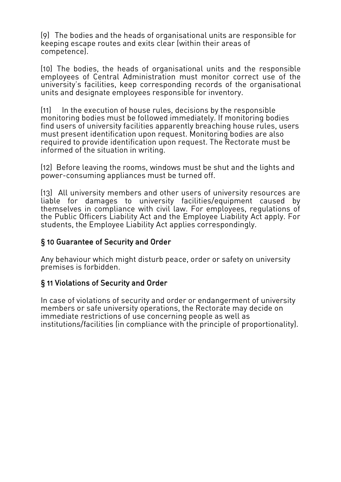(9) The bodies and the heads of organisational units are responsible for keeping escape routes and exits clear (within their areas of competence).

(10) The bodies, the heads of organisational units and the responsible employees of Central Administration must monitor correct use of the university's facilities, keep corresponding records of the organisational units and designate employees responsible for inventory.

(11) In the execution of house rules, decisions by the responsible monitoring bodies must be followed immediately. If monitoring bodies find users of university facilities apparently breaching house rules, users must present identification upon request. Monitoring bodies are also required to provide identification upon request. The Rectorate must be informed of the situation in writing.

(12) Before leaving the rooms, windows must be shut and the lights and power-consuming appliances must be turned off.

(13) All university members and other users of university resources are liable for damages to university facilities/equipment caused by themselves in compliance with civil law. For employees, regulations of the Public Officers Liability Act and the Employee Liability Act apply. For students, the Employee Liability Act applies correspondingly.

#### § 10 Guarantee of Security and Order

Any behaviour which might disturb peace, order or safety on university premises is forbidden.

#### § 11 Violations of Security and Order

In case of violations of security and order or endangerment of university members or safe university operations, the Rectorate may decide on immediate restrictions of use concerning people as well as institutions/facilities (in compliance with the principle of proportionality).